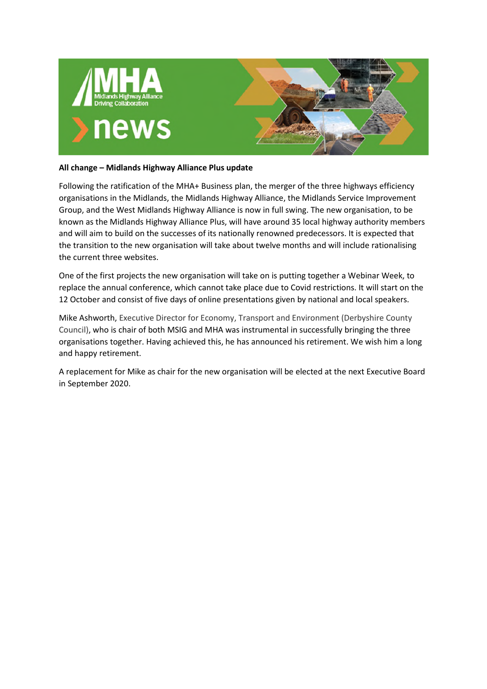

## **All change – Midlands Highway Alliance Plus update**

Following the ratification of the MHA+ Business plan, the merger of the three highways efficiency organisations in the Midlands, the Midlands Highway Alliance, the Midlands Service Improvement Group, and the West Midlands Highway Alliance is now in full swing. The new organisation, to be known as the Midlands Highway Alliance Plus, will have around 35 local highway authority members and will aim to build on the successes of its nationally renowned predecessors. It is expected that the transition to the new organisation will take about twelve months and will include rationalising the current three websites.

One of the first projects the new organisation will take on is putting together a Webinar Week, to replace the annual conference, which cannot take place due to Covid restrictions. It will start on the 12 October and consist of five days of online presentations given by national and local speakers.

Mike Ashworth, Executive Director for Economy, Transport and Environment (Derbyshire County Council), who is chair of both MSIG and MHA was instrumental in successfully bringing the three organisations together. Having achieved this, he has announced his retirement. We wish him a long and happy retirement.

A replacement for Mike as chair for the new organisation will be elected at the next Executive Board in September 2020.